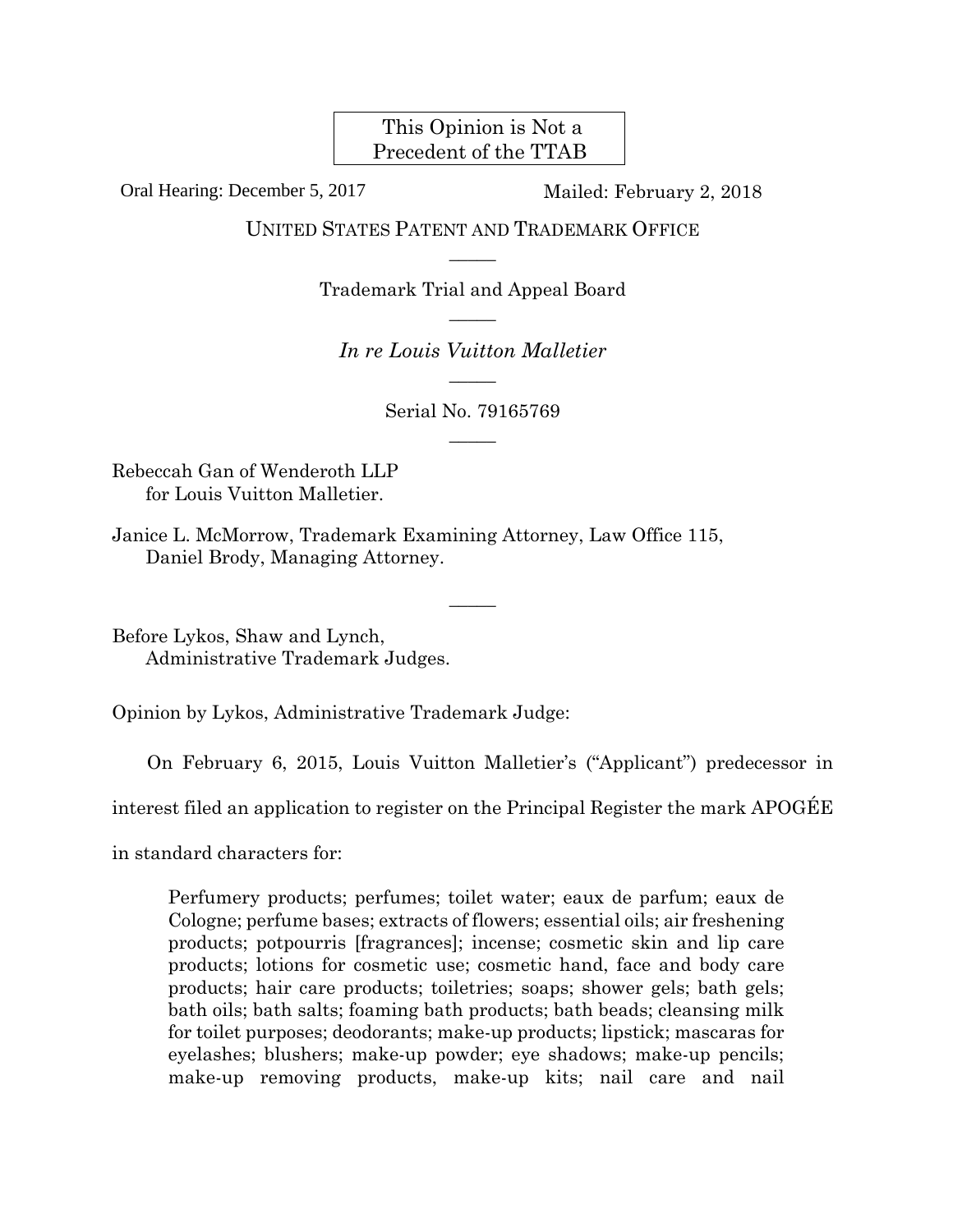This Opinion is Not a Precedent of the TTAB

Oral Hearing: December 5, 2017 Mailed: February 2, 2018

UNITED STATES PATENT AND TRADEMARK OFFICE  $\overline{\phantom{a}}$ 

> Trademark Trial and Appeal Board  $\overline{\phantom{a}}$

*In re Louis Vuitton Malletier*   $\overline{\phantom{a}}$ 

> Serial No. 79165769  $\overline{\phantom{a}}$

> > $\overline{\phantom{a}}$

Rebeccah Gan of Wenderoth LLP for Louis Vuitton Malletier.

Janice L. McMorrow, Trademark Examining Attorney, Law Office 115, Daniel Brody, Managing Attorney.

Before Lykos, Shaw and Lynch, Administrative Trademark Judges.

Opinion by Lykos, Administrative Trademark Judge:

On February 6, 2015, Louis Vuitton Malletier's ("Applicant") predecessor in

interest filed an application to register on the Principal Register the mark APOGÉE

in standard characters for:

Perfumery products; perfumes; toilet water; eaux de parfum; eaux de Cologne; perfume bases; extracts of flowers; essential oils; air freshening products; potpourris [fragrances]; incense; cosmetic skin and lip care products; lotions for cosmetic use; cosmetic hand, face and body care products; hair care products; toiletries; soaps; shower gels; bath gels; bath oils; bath salts; foaming bath products; bath beads; cleansing milk for toilet purposes; deodorants; make-up products; lipstick; mascaras for eyelashes; blushers; make-up powder; eye shadows; make-up pencils; make-up removing products, make-up kits; nail care and nail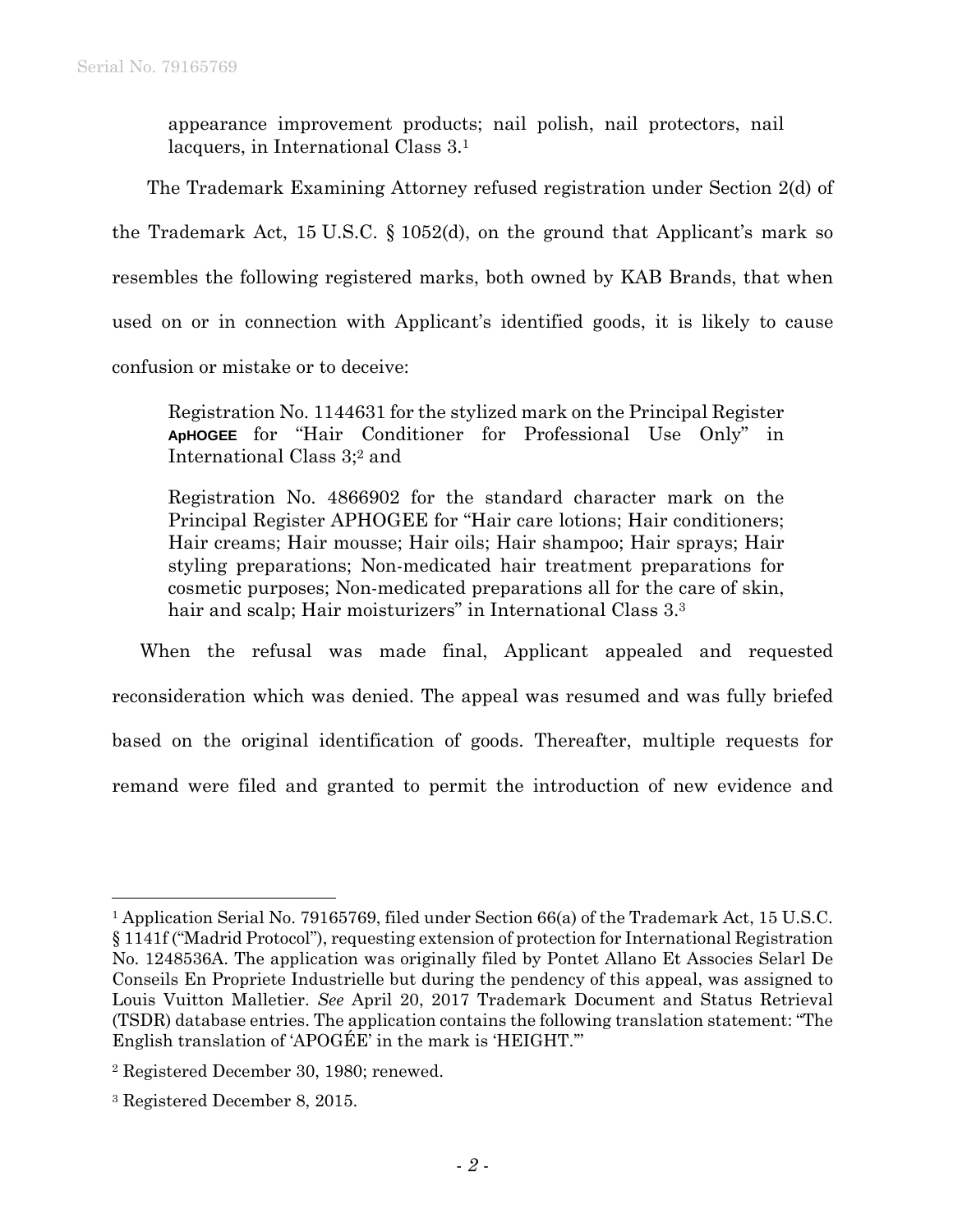appearance improvement products; nail polish, nail protectors, nail lacquers, in International Class 3.1

The Trademark Examining Attorney refused registration under Section 2(d) of the Trademark Act, 15 U.S.C. § 1052(d), on the ground that Applicant's mark so resembles the following registered marks, both owned by KAB Brands, that when used on or in connection with Applicant's identified goods, it is likely to cause confusion or mistake or to deceive:

Registration No. 1144631 for the stylized mark on the Principal Register **ApHOGEE** for "Hair Conditioner for Professional Use Only" in International Class 3;2 and

Registration No. 4866902 for the standard character mark on the Principal Register APHOGEE for "Hair care lotions; Hair conditioners; Hair creams; Hair mousse; Hair oils; Hair shampoo; Hair sprays; Hair styling preparations; Non-medicated hair treatment preparations for cosmetic purposes; Non-medicated preparations all for the care of skin, hair and scalp; Hair moisturizers" in International Class 3.<sup>3</sup>

When the refusal was made final, Applicant appealed and requested reconsideration which was denied. The appeal was resumed and was fully briefed based on the original identification of goods. Thereafter, multiple requests for remand were filed and granted to permit the introduction of new evidence and

 $\overline{a}$ 

<sup>1</sup> Application Serial No. 79165769, filed under Section 66(a) of the Trademark Act, 15 U.S.C. § 1141f ("Madrid Protocol"), requesting extension of protection for International Registration No. 1248536A. The application was originally filed by Pontet Allano Et Associes Selarl De Conseils En Propriete Industrielle but during the pendency of this appeal, was assigned to Louis Vuitton Malletier. *See* April 20, 2017 Trademark Document and Status Retrieval (TSDR) database entries. The application contains the following translation statement: "The English translation of 'APOGÉE' in the mark is 'HEIGHT.'"

<sup>2</sup> Registered December 30, 1980; renewed.

<sup>3</sup> Registered December 8, 2015.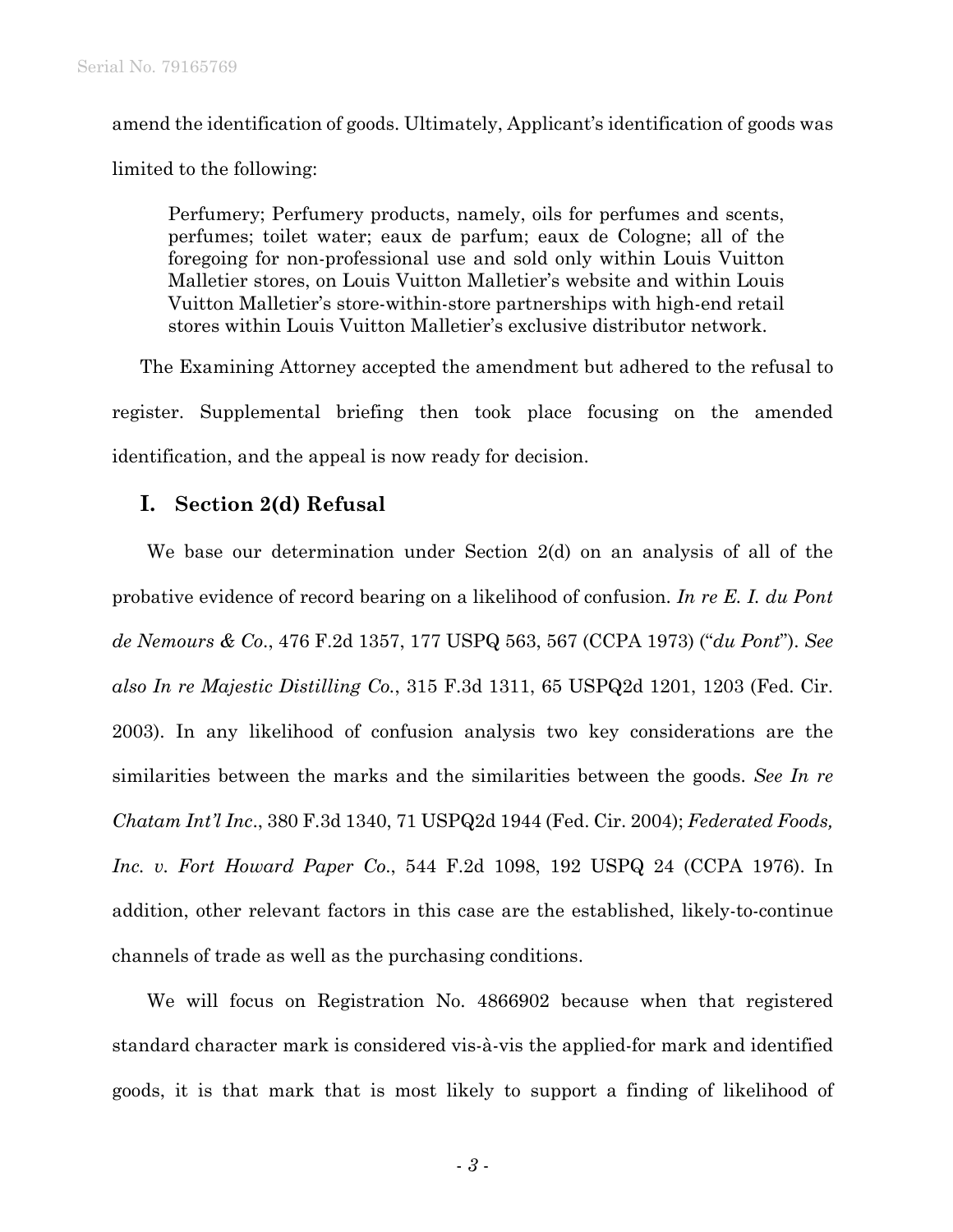amend the identification of goods. Ultimately, Applicant's identification of goods was limited to the following:

Perfumery; Perfumery products, namely, oils for perfumes and scents, perfumes; toilet water; eaux de parfum; eaux de Cologne; all of the foregoing for non-professional use and sold only within Louis Vuitton Malletier stores, on Louis Vuitton Malletier's website and within Louis Vuitton Malletier's store-within-store partnerships with high-end retail stores within Louis Vuitton Malletier's exclusive distributor network.

The Examining Attorney accepted the amendment but adhered to the refusal to register. Supplemental briefing then took place focusing on the amended identification, and the appeal is now ready for decision.

## **I. Section 2(d) Refusal**

We base our determination under Section 2(d) on an analysis of all of the probative evidence of record bearing on a likelihood of confusion. *In re E. I. du Pont de Nemours & Co*., 476 F.2d 1357, 177 USPQ 563, 567 (CCPA 1973) ("*du Pont*"). *See also In re Majestic Distilling Co.*, 315 F.3d 1311, 65 USPQ2d 1201, 1203 (Fed. Cir. 2003). In any likelihood of confusion analysis two key considerations are the similarities between the marks and the similarities between the goods. *See In re Chatam Int'l Inc*., 380 F.3d 1340, 71 USPQ2d 1944 (Fed. Cir. 2004); *Federated Foods, Inc. v. Fort Howard Paper Co*., 544 F.2d 1098, 192 USPQ 24 (CCPA 1976). In addition, other relevant factors in this case are the established, likely-to-continue channels of trade as well as the purchasing conditions.

We will focus on Registration No. 4866902 because when that registered standard character mark is considered vis-à-vis the applied-for mark and identified goods, it is that mark that is most likely to support a finding of likelihood of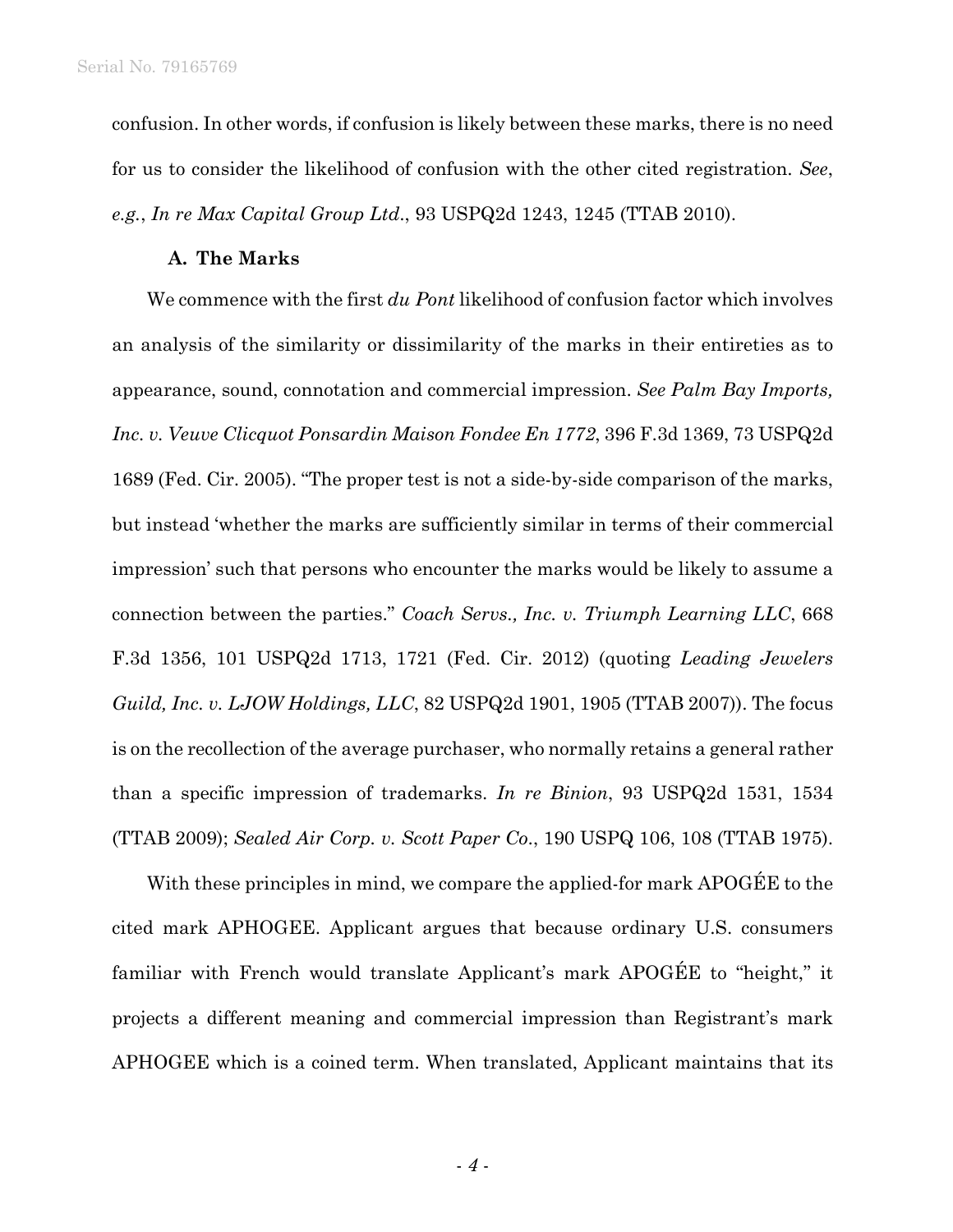confusion. In other words, if confusion is likely between these marks, there is no need for us to consider the likelihood of confusion with the other cited registration. *See*, *e.g.*, *In re Max Capital Group Ltd*., 93 USPQ2d 1243, 1245 (TTAB 2010).

## **A. The Marks**

We commence with the first *du Pont* likelihood of confusion factor which involves an analysis of the similarity or dissimilarity of the marks in their entireties as to appearance, sound, connotation and commercial impression. *See Palm Bay Imports, Inc. v. Veuve Clicquot Ponsardin Maison Fondee En 1772*, 396 F.3d 1369, 73 USPQ2d 1689 (Fed. Cir. 2005). "The proper test is not a side-by-side comparison of the marks, but instead 'whether the marks are sufficiently similar in terms of their commercial impression' such that persons who encounter the marks would be likely to assume a connection between the parties." *Coach Servs., Inc. v. Triumph Learning LLC*, 668 F.3d 1356, 101 USPQ2d 1713, 1721 (Fed. Cir. 2012) (quoting *Leading Jewelers Guild, Inc. v. LJOW Holdings, LLC*, 82 USPQ2d 1901, 1905 (TTAB 2007)). The focus is on the recollection of the average purchaser, who normally retains a general rather than a specific impression of trademarks. *In re Binion*, 93 USPQ2d 1531, 1534 (TTAB 2009); *Sealed Air Corp. v. Scott Paper Co*., 190 USPQ 106, 108 (TTAB 1975).

With these principles in mind, we compare the applied-for mark APOGEE to the cited mark APHOGEE. Applicant argues that because ordinary U.S. consumers familiar with French would translate Applicant's mark APOGÉE to "height," it projects a different meaning and commercial impression than Registrant's mark APHOGEE which is a coined term. When translated, Applicant maintains that its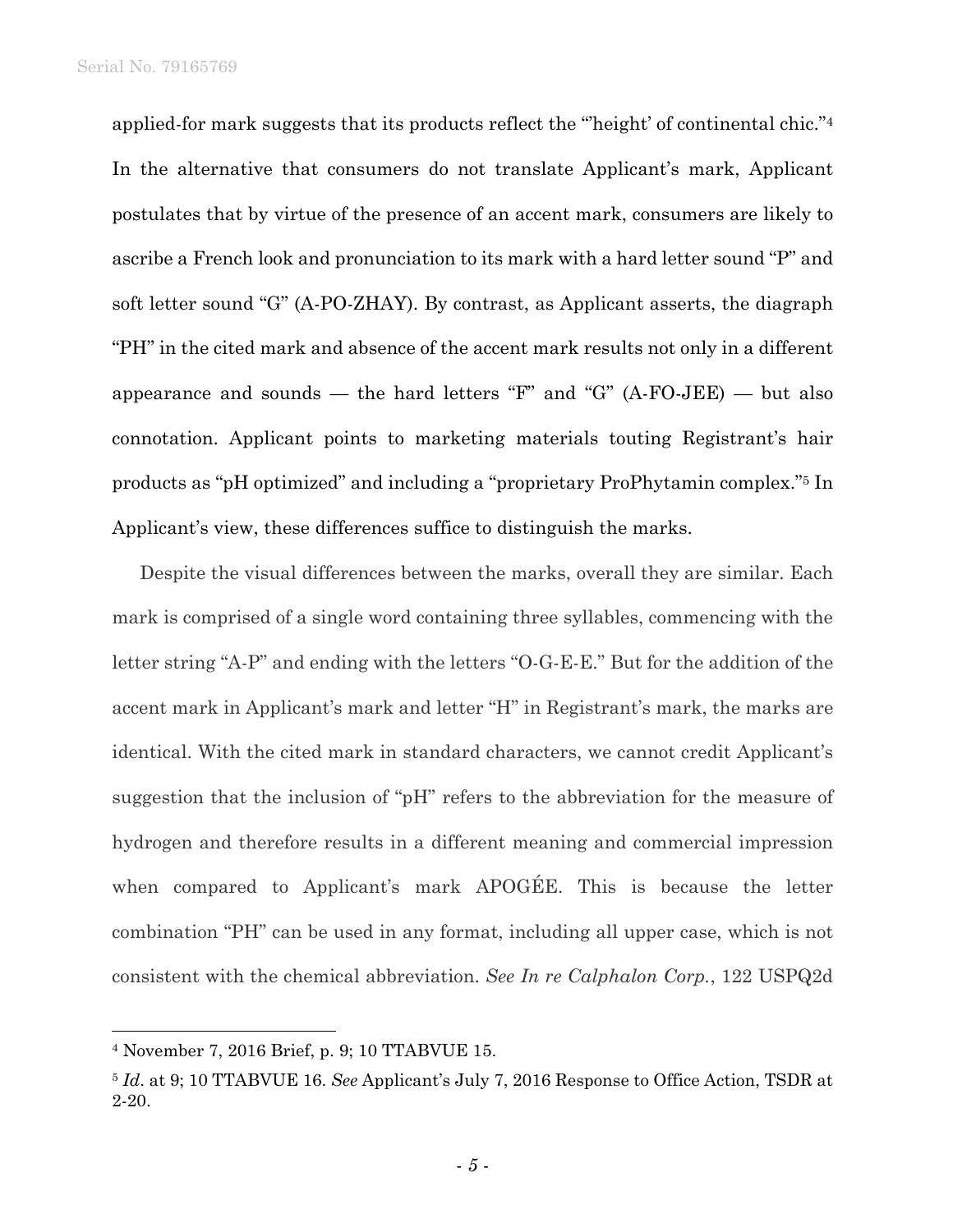applied-for mark suggests that its products reflect the "'height' of continental chic."4 In the alternative that consumers do not translate Applicant's mark, Applicant postulates that by virtue of the presence of an accent mark, consumers are likely to ascribe a French look and pronunciation to its mark with a hard letter sound "P" and soft letter sound "G" (A-PO-ZHAY). By contrast, as Applicant asserts, the diagraph "PH" in the cited mark and absence of the accent mark results not only in a different appearance and sounds — the hard letters " $F$ " and " $G$ " (A-FO-JEE) — but also connotation. Applicant points to marketing materials touting Registrant's hair products as "pH optimized" and including a "proprietary ProPhytamin complex."5 In Applicant's view, these differences suffice to distinguish the marks.

Despite the visual differences between the marks, overall they are similar. Each mark is comprised of a single word containing three syllables, commencing with the letter string "A-P" and ending with the letters "O-G-E-E." But for the addition of the accent mark in Applicant's mark and letter "H" in Registrant's mark, the marks are identical. With the cited mark in standard characters, we cannot credit Applicant's suggestion that the inclusion of "pH" refers to the abbreviation for the measure of hydrogen and therefore results in a different meaning and commercial impression when compared to Applicant's mark APOGÉE. This is because the letter combination "PH" can be used in any format, including all upper case, which is not consistent with the chemical abbreviation. *See In re Calphalon Corp.*, 122 USPQ2d

l

<sup>4</sup> November 7, 2016 Brief, p. 9; 10 TTABVUE 15.

<sup>5</sup> *Id*. at 9; 10 TTABVUE 16. *See* Applicant's July 7, 2016 Response to Office Action, TSDR at 2-20.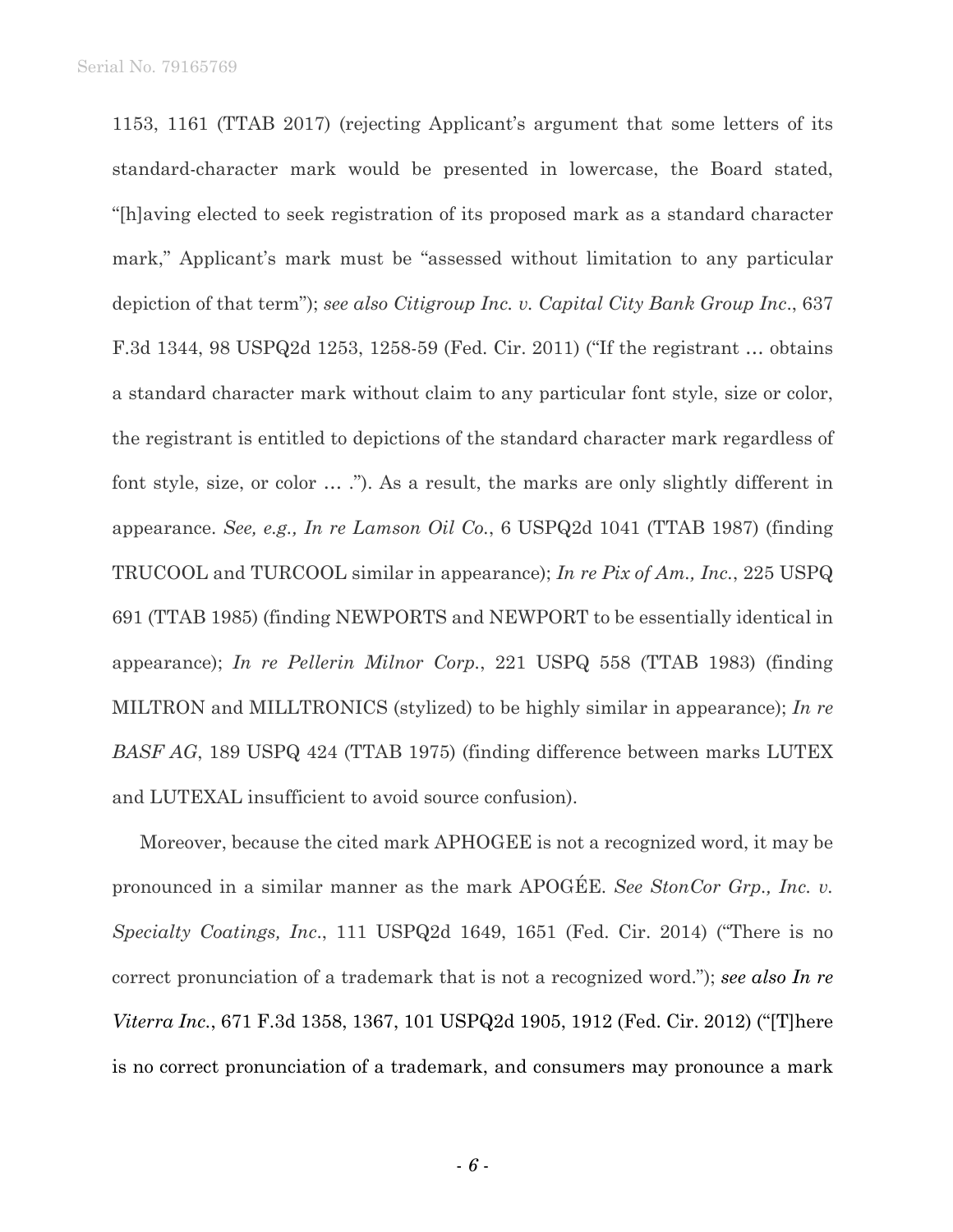1153, 1161 (TTAB 2017) (rejecting Applicant's argument that some letters of its standard-character mark would be presented in lowercase, the Board stated, "[h]aving elected to seek registration of its proposed mark as a standard character mark," Applicant's mark must be "assessed without limitation to any particular depiction of that term"); *see also Citigroup Inc. v. Capital City Bank Group Inc*., 637 F.3d 1344, 98 USPQ2d 1253, 1258-59 (Fed. Cir. 2011) ("If the registrant … obtains a standard character mark without claim to any particular font style, size or color, the registrant is entitled to depictions of the standard character mark regardless of font style, size, or color … ."). As a result, the marks are only slightly different in appearance. *See, e.g., In re Lamson Oil Co.*, 6 USPQ2d 1041 (TTAB 1987) (finding TRUCOOL and TURCOOL similar in appearance); *In re Pix of Am., Inc.*, 225 USPQ 691 (TTAB 1985) (finding NEWPORTS and NEWPORT to be essentially identical in appearance); *In re Pellerin Milnor Corp.*, 221 USPQ 558 (TTAB 1983) (finding MILTRON and MILLTRONICS (stylized) to be highly similar in appearance); *In re BASF AG*, 189 USPQ 424 (TTAB 1975) (finding difference between marks LUTEX and LUTEXAL insufficient to avoid source confusion).

Moreover, because the cited mark APHOGEE is not a recognized word, it may be pronounced in a similar manner as the mark APOGÉE. *See StonCor Grp., Inc. v. Specialty Coatings, Inc*., 111 USPQ2d 1649, 1651 (Fed. Cir. 2014) ("There is no correct pronunciation of a trademark that is not a recognized word."); *see also In re Viterra Inc.*, 671 F.3d 1358, 1367, 101 USPQ2d 1905, 1912 (Fed. Cir. 2012) ("[T]here is no correct pronunciation of a trademark, and consumers may pronounce a mark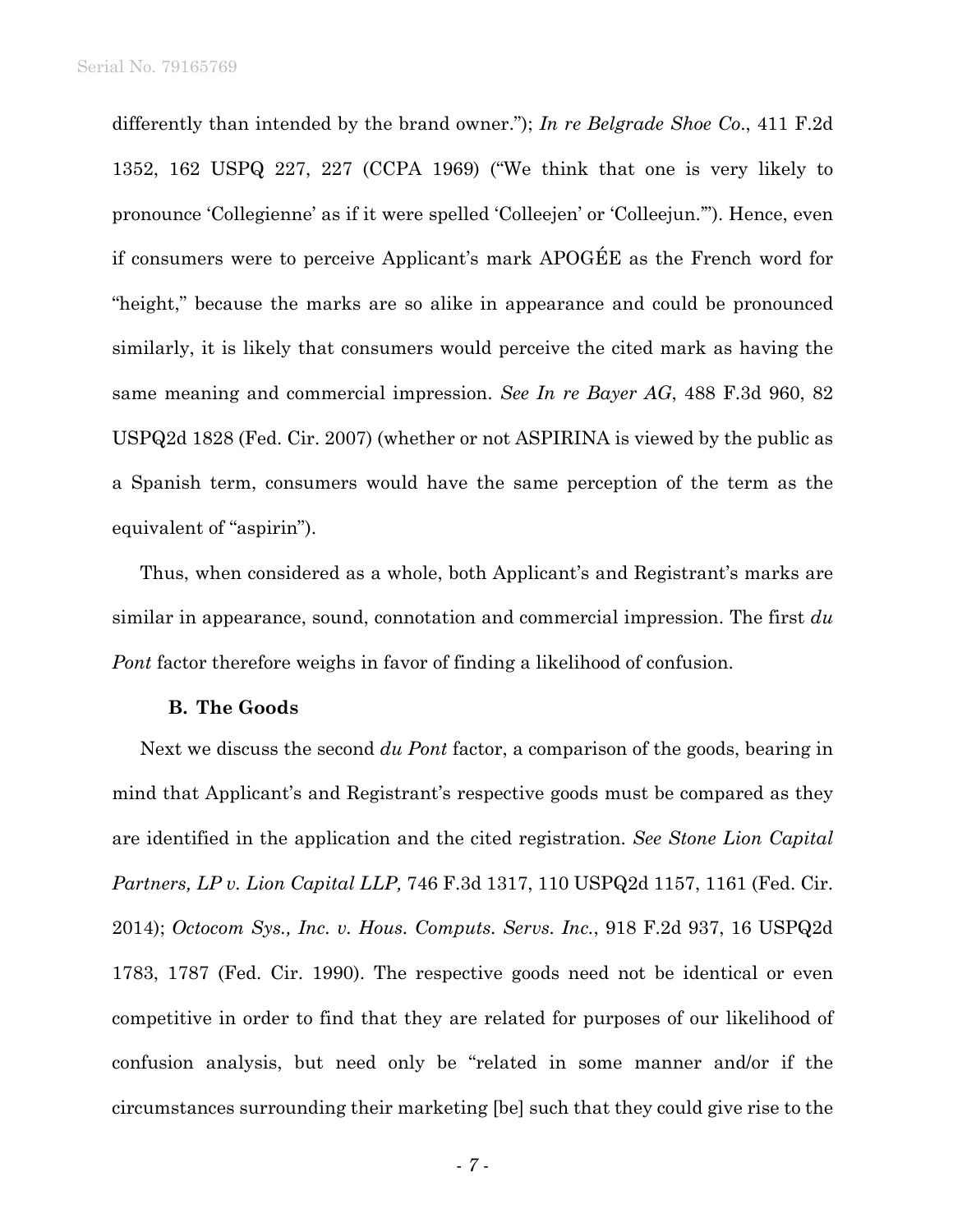differently than intended by the brand owner."); *In re Belgrade Shoe Co*., 411 F.2d 1352, 162 USPQ 227, 227 (CCPA 1969) ("We think that one is very likely to pronounce 'Collegienne' as if it were spelled 'Colleejen' or 'Colleejun.'"). Hence, even if consumers were to perceive Applicant's mark APOGÉE as the French word for "height," because the marks are so alike in appearance and could be pronounced similarly, it is likely that consumers would perceive the cited mark as having the same meaning and commercial impression. *See In re Bayer AG*, 488 F.3d 960, 82 USPQ2d 1828 (Fed. Cir. 2007) (whether or not ASPIRINA is viewed by the public as a Spanish term, consumers would have the same perception of the term as the equivalent of "aspirin").

Thus, when considered as a whole, both Applicant's and Registrant's marks are similar in appearance, sound, connotation and commercial impression. The first *du Pont* factor therefore weighs in favor of finding a likelihood of confusion.

## **B. The Goods**

Next we discuss the second *du Pont* factor, a comparison of the goods, bearing in mind that Applicant's and Registrant's respective goods must be compared as they are identified in the application and the cited registration. *See Stone Lion Capital Partners, LP v. Lion Capital LLP,* 746 F.3d 1317, 110 USPQ2d 1157, 1161 (Fed. Cir. 2014); *Octocom Sys., Inc. v. Hous. Computs. Servs. Inc.*, 918 F.2d 937, 16 USPQ2d 1783, 1787 (Fed. Cir. 1990). The respective goods need not be identical or even competitive in order to find that they are related for purposes of our likelihood of confusion analysis, but need only be "related in some manner and/or if the circumstances surrounding their marketing [be] such that they could give rise to the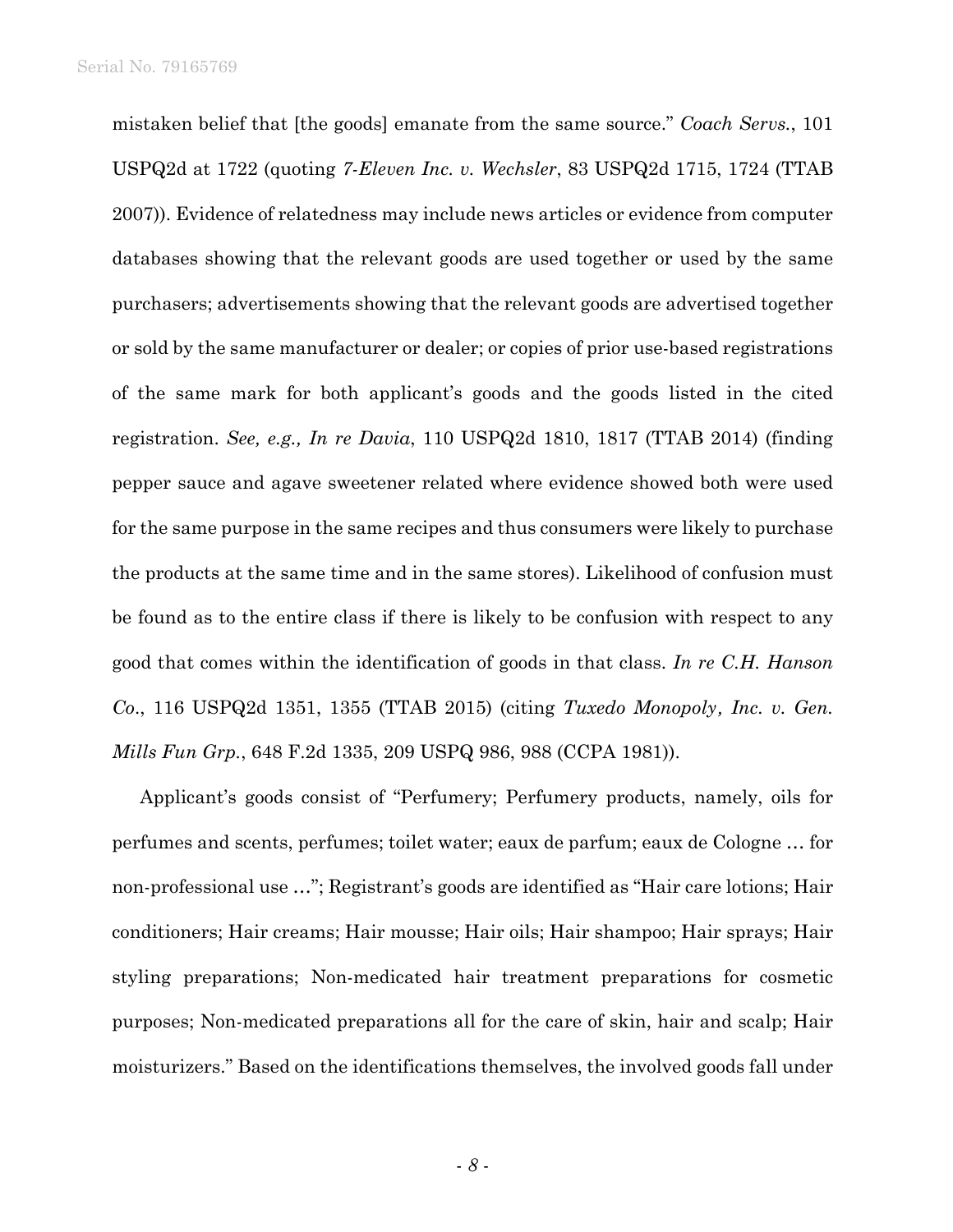mistaken belief that [the goods] emanate from the same source." *Coach Servs.*, 101 USPQ2d at 1722 (quoting *7-Eleven Inc. v. Wechsler*, 83 USPQ2d 1715, 1724 (TTAB 2007)). Evidence of relatedness may include news articles or evidence from computer databases showing that the relevant goods are used together or used by the same purchasers; advertisements showing that the relevant goods are advertised together or sold by the same manufacturer or dealer; or copies of prior use-based registrations of the same mark for both applicant's goods and the goods listed in the cited registration. *See, e.g., In re Davia*, 110 USPQ2d 1810, 1817 (TTAB 2014) (finding pepper sauce and agave sweetener related where evidence showed both were used for the same purpose in the same recipes and thus consumers were likely to purchase the products at the same time and in the same stores). Likelihood of confusion must be found as to the entire class if there is likely to be confusion with respect to any good that comes within the identification of goods in that class. *In re C.H. Hanson Co*., 116 USPQ2d 1351, 1355 (TTAB 2015) (citing *Tuxedo Monopoly, Inc. v. Gen. Mills Fun Grp.*, 648 F.2d 1335, 209 USPQ 986, 988 (CCPA 1981)).

Applicant's goods consist of "Perfumery; Perfumery products, namely, oils for perfumes and scents, perfumes; toilet water; eaux de parfum; eaux de Cologne … for non-professional use …"; Registrant's goods are identified as "Hair care lotions; Hair conditioners; Hair creams; Hair mousse; Hair oils; Hair shampoo; Hair sprays; Hair styling preparations; Non-medicated hair treatment preparations for cosmetic purposes; Non-medicated preparations all for the care of skin, hair and scalp; Hair moisturizers." Based on the identifications themselves, the involved goods fall under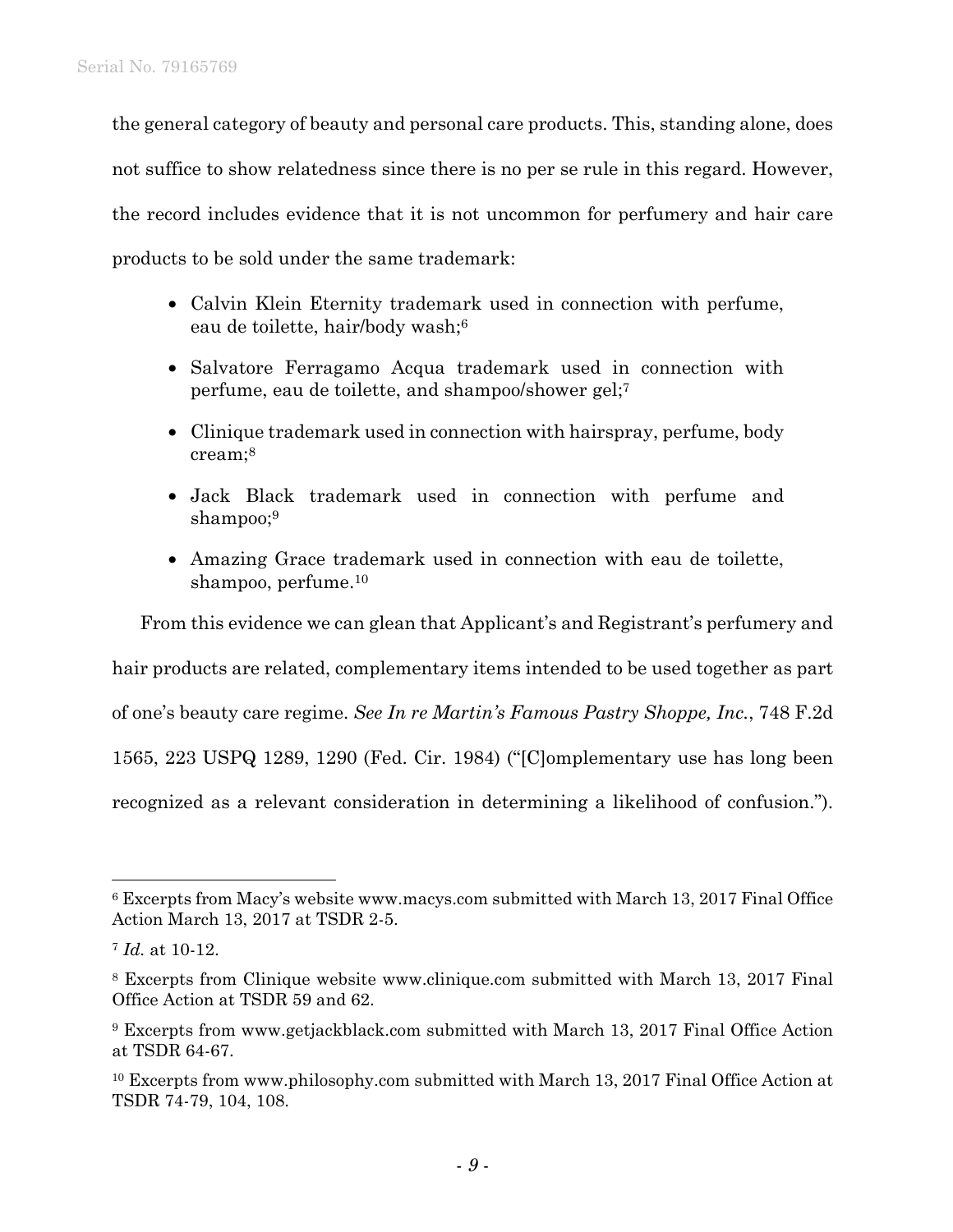the general category of beauty and personal care products. This, standing alone, does not suffice to show relatedness since there is no per se rule in this regard. However, the record includes evidence that it is not uncommon for perfumery and hair care products to be sold under the same trademark:

- Calvin Klein Eternity trademark used in connection with perfume, eau de toilette, hair/body wash;6
- Salvatore Ferragamo Acqua trademark used in connection with perfume, eau de toilette, and shampoo/shower gel;7
- Clinique trademark used in connection with hairspray, perfume, body cream;8
- Jack Black trademark used in connection with perfume and shampoo;<sup>9</sup>
- Amazing Grace trademark used in connection with eau de toilette, shampoo, perfume.10

From this evidence we can glean that Applicant's and Registrant's perfumery and hair products are related, complementary items intended to be used together as part of one's beauty care regime. *See In re Martin's Famous Pastry Shoppe, Inc.*, 748 F.2d 1565, 223 USPQ 1289, 1290 (Fed. Cir. 1984) ("[C]omplementary use has long been

 $\overline{a}$ 

recognized as a relevant consideration in determining a likelihood of confusion.").

<sup>6</sup> Excerpts from Macy's website www.macys.com submitted with March 13, 2017 Final Office Action March 13, 2017 at TSDR 2-5.

<sup>7</sup> *Id.* at 10-12.

<sup>8</sup> Excerpts from Clinique website www.clinique.com submitted with March 13, 2017 Final Office Action at TSDR 59 and 62.

<sup>9</sup> Excerpts from www.getjackblack.com submitted with March 13, 2017 Final Office Action at TSDR 64-67.

<sup>10</sup> Excerpts from www.philosophy.com submitted with March 13, 2017 Final Office Action at TSDR 74-79, 104, 108.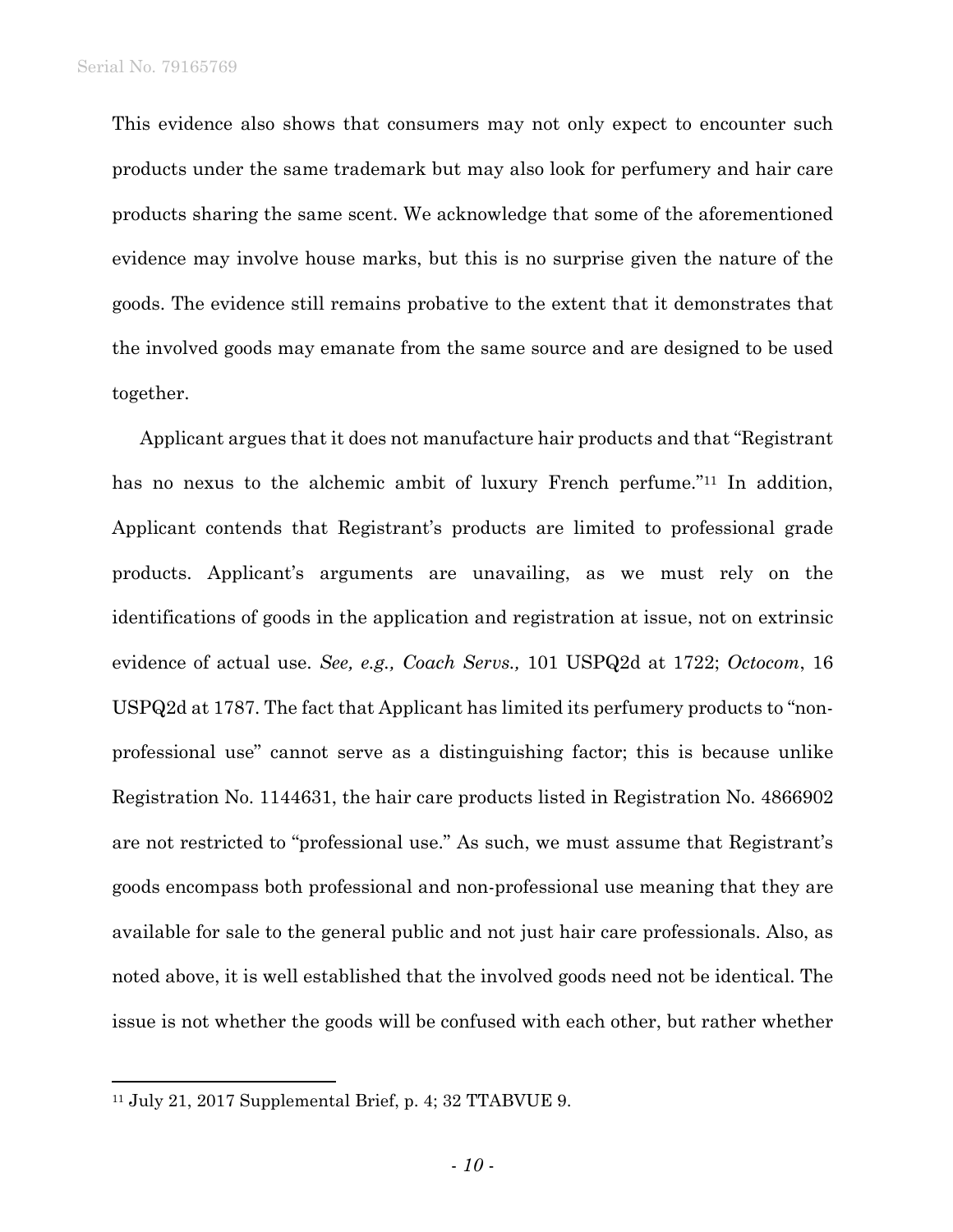This evidence also shows that consumers may not only expect to encounter such products under the same trademark but may also look for perfumery and hair care products sharing the same scent. We acknowledge that some of the aforementioned evidence may involve house marks, but this is no surprise given the nature of the goods. The evidence still remains probative to the extent that it demonstrates that the involved goods may emanate from the same source and are designed to be used together.

Applicant argues that it does not manufacture hair products and that "Registrant has no nexus to the alchemic ambit of luxury French perfume."<sup>11</sup> In addition, Applicant contends that Registrant's products are limited to professional grade products. Applicant's arguments are unavailing, as we must rely on the identifications of goods in the application and registration at issue, not on extrinsic evidence of actual use. *See, e.g., Coach Servs.,* 101 USPQ2d at 1722; *Octocom*, 16 USPQ2d at 1787. The fact that Applicant has limited its perfumery products to "nonprofessional use" cannot serve as a distinguishing factor; this is because unlike Registration No. 1144631, the hair care products listed in Registration No. 4866902 are not restricted to "professional use." As such, we must assume that Registrant's goods encompass both professional and non-professional use meaning that they are available for sale to the general public and not just hair care professionals. Also, as noted above, it is well established that the involved goods need not be identical. The issue is not whether the goods will be confused with each other, but rather whether

1

<sup>11</sup> July 21, 2017 Supplemental Brief, p. 4; 32 TTABVUE 9.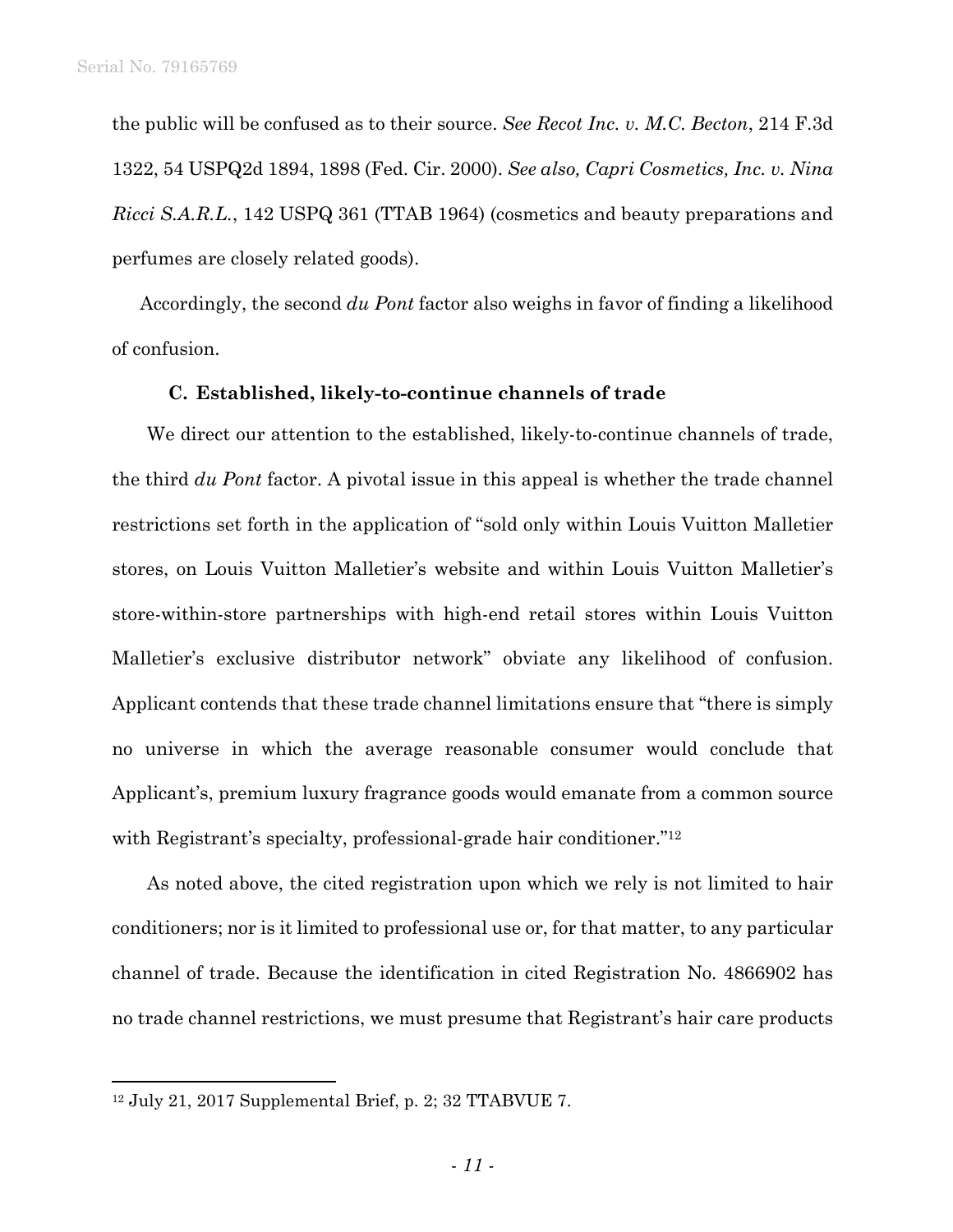the public will be confused as to their source. *See Recot Inc. v. M.C. Becton*, 214 F.3d 1322, 54 USPQ2d 1894, 1898 (Fed. Cir. 2000). *See also, Capri Cosmetics, Inc. v. Nina Ricci S.A.R.L.*, 142 USPQ 361 (TTAB 1964) (cosmetics and beauty preparations and perfumes are closely related goods).

Accordingly, the second *du Pont* factor also weighs in favor of finding a likelihood of confusion.

#### **C. Established, likely-to-continue channels of trade**

We direct our attention to the established, likely-to-continue channels of trade, the third *du Pont* factor. A pivotal issue in this appeal is whether the trade channel restrictions set forth in the application of "sold only within Louis Vuitton Malletier stores, on Louis Vuitton Malletier's website and within Louis Vuitton Malletier's store-within-store partnerships with high-end retail stores within Louis Vuitton Malletier's exclusive distributor network" obviate any likelihood of confusion. Applicant contends that these trade channel limitations ensure that "there is simply no universe in which the average reasonable consumer would conclude that Applicant's, premium luxury fragrance goods would emanate from a common source with Registrant's specialty, professional-grade hair conditioner."<sup>12</sup>

As noted above, the cited registration upon which we rely is not limited to hair conditioners; nor is it limited to professional use or, for that matter, to any particular channel of trade. Because the identification in cited Registration No. 4866902 has no trade channel restrictions, we must presume that Registrant's hair care products

 $\overline{a}$ 

<sup>12</sup> July 21, 2017 Supplemental Brief, p. 2; 32 TTABVUE 7.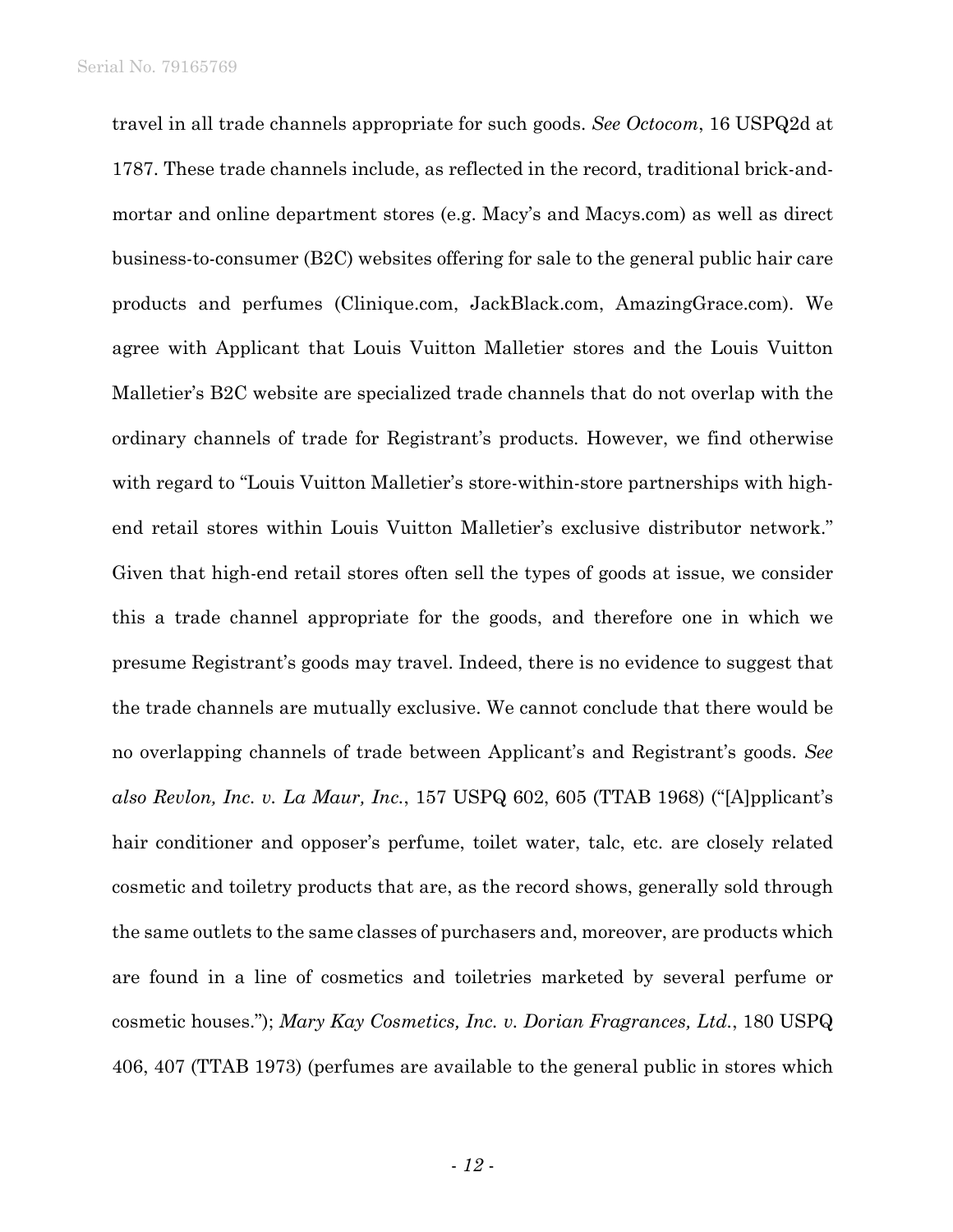travel in all trade channels appropriate for such goods. *See Octocom*, 16 USPQ2d at 1787. These trade channels include, as reflected in the record, traditional brick-andmortar and online department stores (e.g. Macy's and Macys.com) as well as direct business-to-consumer (B2C) websites offering for sale to the general public hair care products and perfumes (Clinique.com, JackBlack.com, AmazingGrace.com). We agree with Applicant that Louis Vuitton Malletier stores and the Louis Vuitton Malletier's B2C website are specialized trade channels that do not overlap with the ordinary channels of trade for Registrant's products. However, we find otherwise with regard to "Louis Vuitton Malletier's store-within-store partnerships with highend retail stores within Louis Vuitton Malletier's exclusive distributor network." Given that high-end retail stores often sell the types of goods at issue, we consider this a trade channel appropriate for the goods, and therefore one in which we presume Registrant's goods may travel. Indeed, there is no evidence to suggest that the trade channels are mutually exclusive. We cannot conclude that there would be no overlapping channels of trade between Applicant's and Registrant's goods. *See also Revlon, Inc. v. La Maur, Inc.*, 157 USPQ 602, 605 (TTAB 1968) ("[A]pplicant's hair conditioner and opposer's perfume, toilet water, talc, etc. are closely related cosmetic and toiletry products that are, as the record shows, generally sold through the same outlets to the same classes of purchasers and, moreover, are products which are found in a line of cosmetics and toiletries marketed by several perfume or cosmetic houses."); *Mary Kay Cosmetics, Inc. v. Dorian Fragrances, Ltd.*, 180 USPQ 406, 407 (TTAB 1973) (perfumes are available to the general public in stores which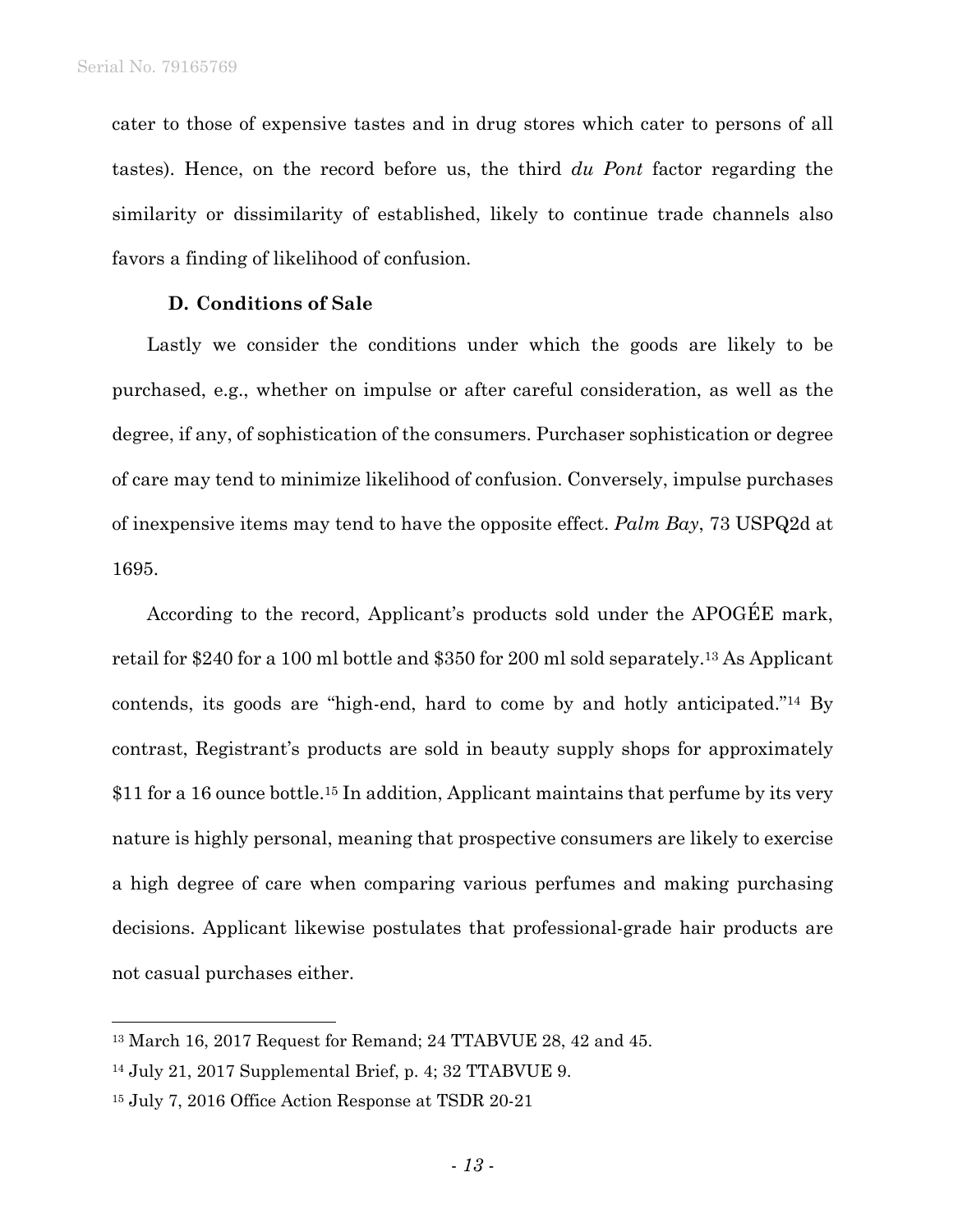cater to those of expensive tastes and in drug stores which cater to persons of all tastes). Hence, on the record before us, the third *du Pont* factor regarding the similarity or dissimilarity of established, likely to continue trade channels also favors a finding of likelihood of confusion.

## **D. Conditions of Sale**

Lastly we consider the conditions under which the goods are likely to be purchased, e.g., whether on impulse or after careful consideration, as well as the degree, if any, of sophistication of the consumers. Purchaser sophistication or degree of care may tend to minimize likelihood of confusion. Conversely, impulse purchases of inexpensive items may tend to have the opposite effect. *Palm Bay*, 73 USPQ2d at 1695.

According to the record, Applicant's products sold under the APOGÉE mark, retail for \$240 for a 100 ml bottle and \$350 for 200 ml sold separately.13 As Applicant contends, its goods are "high-end, hard to come by and hotly anticipated."14 By contrast, Registrant's products are sold in beauty supply shops for approximately \$11 for a 16 ounce bottle.15 In addition, Applicant maintains that perfume by its very nature is highly personal, meaning that prospective consumers are likely to exercise a high degree of care when comparing various perfumes and making purchasing decisions. Applicant likewise postulates that professional-grade hair products are not casual purchases either.

l

<sup>13</sup> March 16, 2017 Request for Remand; 24 TTABVUE 28, 42 and 45.

<sup>14</sup> July 21, 2017 Supplemental Brief, p. 4; 32 TTABVUE 9.

<sup>15</sup> July 7, 2016 Office Action Response at TSDR 20-21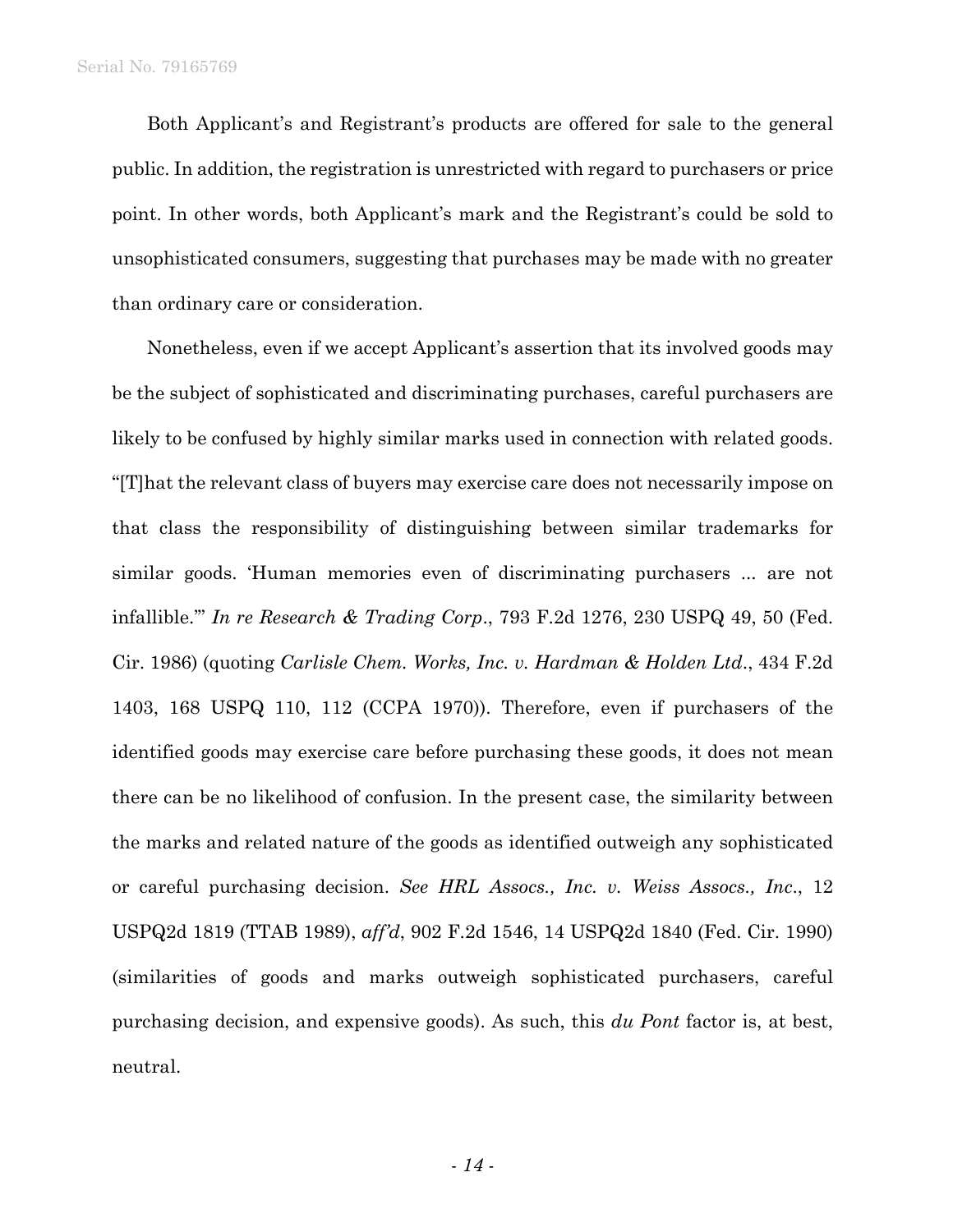Both Applicant's and Registrant's products are offered for sale to the general public. In addition, the registration is unrestricted with regard to purchasers or price point. In other words, both Applicant's mark and the Registrant's could be sold to unsophisticated consumers, suggesting that purchases may be made with no greater than ordinary care or consideration.

Nonetheless, even if we accept Applicant's assertion that its involved goods may be the subject of sophisticated and discriminating purchases, careful purchasers are likely to be confused by highly similar marks used in connection with related goods. "[T]hat the relevant class of buyers may exercise care does not necessarily impose on that class the responsibility of distinguishing between similar trademarks for similar goods. 'Human memories even of discriminating purchasers ... are not infallible.'" *In re Research & Trading Corp*., 793 F.2d 1276, 230 USPQ 49, 50 (Fed. Cir. 1986) (quoting *Carlisle Chem. Works, Inc. v. Hardman & Holden Ltd*., 434 F.2d 1403, 168 USPQ 110, 112 (CCPA 1970)). Therefore, even if purchasers of the identified goods may exercise care before purchasing these goods, it does not mean there can be no likelihood of confusion. In the present case, the similarity between the marks and related nature of the goods as identified outweigh any sophisticated or careful purchasing decision. *See HRL Assocs., Inc. v. Weiss Assocs., Inc*., 12 USPQ2d 1819 (TTAB 1989), *aff'd*, 902 F.2d 1546, 14 USPQ2d 1840 (Fed. Cir. 1990) (similarities of goods and marks outweigh sophisticated purchasers, careful purchasing decision, and expensive goods). As such, this *du Pont* factor is, at best, neutral.